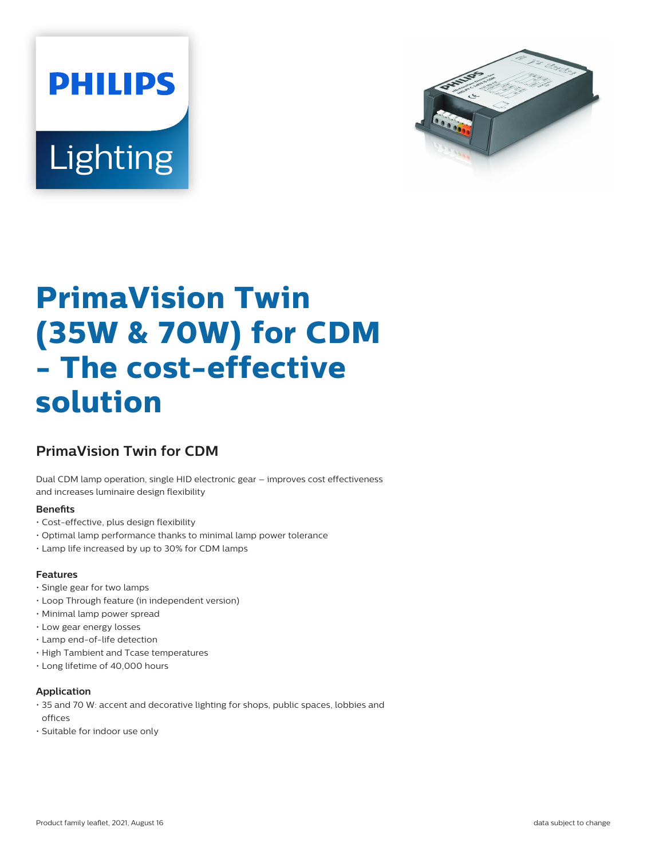



# **PrimaVision Twin (35W & 70W) for CDM - The cost-effective solution**

## **PrimaVision Twin for CDM**

Dual CDM lamp operation, single HID electronic gear – improves cost effectiveness and increases luminaire design flexibility

#### **Benets**

- Cost-effective, plus design flexibility
- Optimal lamp performance thanks to minimal lamp power tolerance
- Lamp life increased by up to 30% for CDM lamps

#### **Features**

- Single gear for two lamps
- Loop Through feature (in independent version)
- Minimal lamp power spread
- Low gear energy losses
- Lamp end-of-life detection
- High Tambient and Tcase temperatures
- Long lifetime of 40,000 hours

#### **Application**

- 35 and 70 W: accent and decorative lighting for shops, public spaces, lobbies and offices
- Suitable for indoor use only